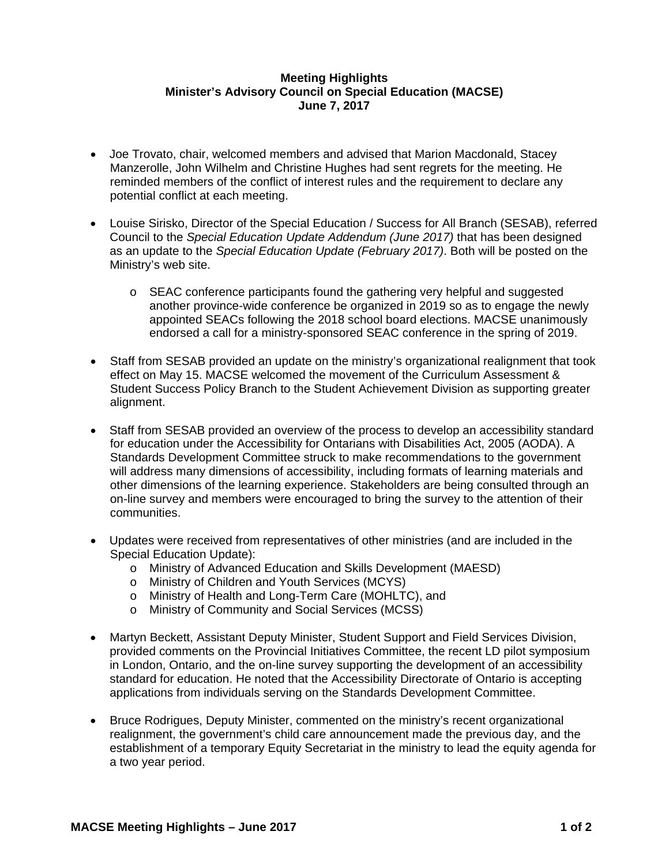## **Meeting Highlights Minister's Advisory Council on Special Education (MACSE) June 7, 2017**

- Joe Trovato, chair, welcomed members and advised that Marion Macdonald, Stacey Manzerolle, John Wilhelm and Christine Hughes had sent regrets for the meeting. He reminded members of the conflict of interest rules and the requirement to declare any potential conflict at each meeting.
- Louise Sirisko, Director of the Special Education / Success for All Branch (SESAB), referred Council to the *Special Education Update Addendum (June 2017)* that has been designed as an update to the *Special Education Update (February 2017)*. Both will be posted on the Ministry's web site.
	- o SEAC conference participants found the gathering very helpful and suggested another province-wide conference be organized in 2019 so as to engage the newly appointed SEACs following the 2018 school board elections. MACSE unanimously endorsed a call for a ministry-sponsored SEAC conference in the spring of 2019.
- Staff from SESAB provided an update on the ministry's organizational realignment that took effect on May 15. MACSE welcomed the movement of the Curriculum Assessment & Student Success Policy Branch to the Student Achievement Division as supporting greater alignment.
- Staff from SESAB provided an overview of the process to develop an accessibility standard for education under the Accessibility for Ontarians with Disabilities Act, 2005 (AODA). A Standards Development Committee struck to make recommendations to the government will address many dimensions of accessibility, including formats of learning materials and other dimensions of the learning experience. Stakeholders are being consulted through an on-line survey and members were encouraged to bring the survey to the attention of their communities.
- Updates were received from representatives of other ministries (and are included in the Special Education Update):
	- o Ministry of Advanced Education and Skills Development (MAESD)
	- o Ministry of Children and Youth Services (MCYS)
	- o Ministry of Health and Long-Term Care (MOHLTC), and
	- o Ministry of Community and Social Services (MCSS)
- Martyn Beckett, Assistant Deputy Minister, Student Support and Field Services Division, provided comments on the Provincial Initiatives Committee, the recent LD pilot symposium in London, Ontario, and the on-line survey supporting the development of an accessibility standard for education. He noted that the Accessibility Directorate of Ontario is accepting applications from individuals serving on the Standards Development Committee.
- Bruce Rodrigues, Deputy Minister, commented on the ministry's recent organizational realignment, the government's child care announcement made the previous day, and the establishment of a temporary Equity Secretariat in the ministry to lead the equity agenda for a two year period.